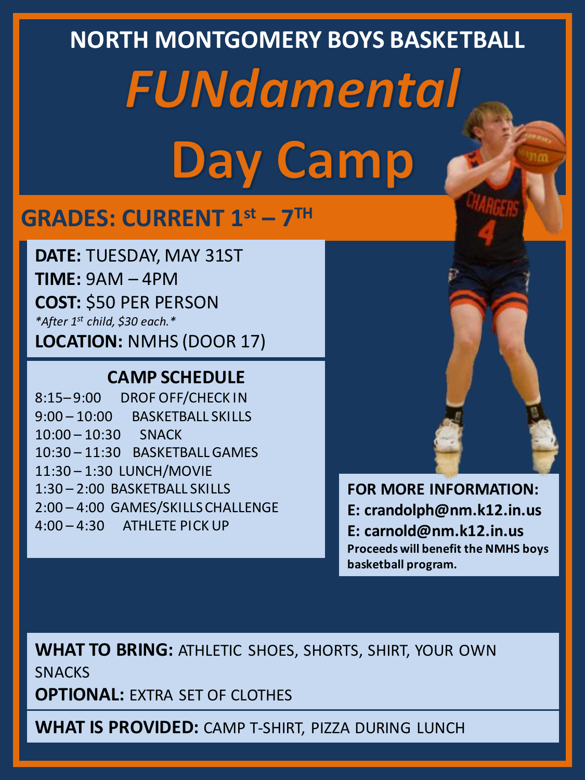# **NORTH MONTGOMERY BOYS BASKETBALL FUNdamental Day Camp**

## **GRADES: CURRENT 1st – 7 TH**

**DATE:** TUESDAY, MAY 31ST **TIME:** 9AM – 4PM **COST:** \$50 PER PERSON *\*After 1st child, \$30 each.\** **LOCATION:** NMHS (DOOR 17)

#### **CAMP SCHEDULE**

8:15– 9:00 DROF OFF/CHECK IN 9:00 – 10:00 BASKETBALL SKILLS 10:00 – 10:30 SNACK 10:30 – 11:30 BASKETBALL GAMES 11:30 – 1:30 LUNCH/MOVIE 1:30 – 2:00 BASKETBALL SKILLS 2:00 – 4:00 GAMES/SKILLS CHALLENGE 4:00 – 4:30 ATHLETE PICK UP



**FOR MORE INFORMATION: E: crandolph@nm.k12.in.us E: carnold@nm.k12.in.us Proceeds will benefit the NMHS boys basketball program.**

**WHAT TO BRING:** ATHLETIC SHOES, SHORTS, SHIRT, YOUR OWN **SNACKS** 

**OPTIONAL:** EXTRA SET OF CLOTHES

**WHAT IS PROVIDED:** CAMP T-SHIRT, PIZZA DURING LUNCH